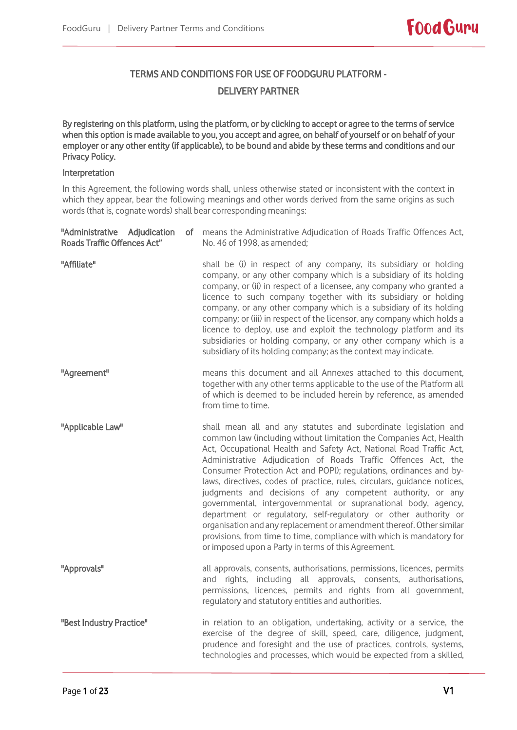# TERMS AND CONDITIONS FOR USE OF FOODGURU PLATFORM - DELIVERY PARTNER

By registering on this platform, using the platform, or by clicking to accept or agree to the terms of service when this option is made available to you, you accept and agree, on behalf of yourself or on behalf of your employer or any other entity (if applicable), to be bound and abide by these terms and conditions and our Privacy Policy.

# Interpretation

In this Agreement, the following words shall, unless otherwise stated or inconsistent with the context in which they appear, bear the following meanings and other words derived from the same origins as such words (that is, cognate words) shall bear corresponding meanings:

| "Administrative Adjudication<br><b>Roads Traffic Offences Act"</b> | of means the Administrative Adjudication of Roads Traffic Offences Act,<br>No. 46 of 1998, as amended;                                                                                                                                                                                                                                                                                                                                                                                                                                                                                                                                                                                                                                                                                                                                      |
|--------------------------------------------------------------------|---------------------------------------------------------------------------------------------------------------------------------------------------------------------------------------------------------------------------------------------------------------------------------------------------------------------------------------------------------------------------------------------------------------------------------------------------------------------------------------------------------------------------------------------------------------------------------------------------------------------------------------------------------------------------------------------------------------------------------------------------------------------------------------------------------------------------------------------|
| "Affiliate"                                                        | shall be (i) in respect of any company, its subsidiary or holding<br>company, or any other company which is a subsidiary of its holding<br>company, or (ii) in respect of a licensee, any company who granted a<br>licence to such company together with its subsidiary or holding<br>company, or any other company which is a subsidiary of its holding<br>company; or (iii) in respect of the licensor, any company which holds a<br>licence to deploy, use and exploit the technology platform and its<br>subsidiaries or holding company, or any other company which is a<br>subsidiary of its holding company; as the context may indicate.                                                                                                                                                                                            |
| "Agreement"                                                        | means this document and all Annexes attached to this document,<br>together with any other terms applicable to the use of the Platform all<br>of which is deemed to be included herein by reference, as amended<br>from time to time.                                                                                                                                                                                                                                                                                                                                                                                                                                                                                                                                                                                                        |
| "Applicable Law"                                                   | shall mean all and any statutes and subordinate legislation and<br>common law (including without limitation the Companies Act, Health<br>Act, Occupational Health and Safety Act, National Road Traffic Act,<br>Administrative Adjudication of Roads Traffic Offences Act, the<br>Consumer Protection Act and POPI); regulations, ordinances and by-<br>laws, directives, codes of practice, rules, circulars, quidance notices,<br>judgments and decisions of any competent authority, or any<br>governmental, intergovernmental or supranational body, agency,<br>department or regulatory, self-regulatory or other authority or<br>organisation and any replacement or amendment thereof. Other similar<br>provisions, from time to time, compliance with which is mandatory for<br>or imposed upon a Party in terms of this Agreement. |
| "Approvals"                                                        | all approvals, consents, authorisations, permissions, licences, permits<br>and rights, including all approvals, consents, authorisations,<br>permissions, licences, permits and rights from all government,<br>regulatory and statutory entities and authorities.                                                                                                                                                                                                                                                                                                                                                                                                                                                                                                                                                                           |
| "Best Industry Practice"                                           | in relation to an obligation, undertaking, activity or a service, the<br>exercise of the degree of skill, speed, care, diligence, judgment,<br>prudence and foresight and the use of practices, controls, systems,<br>technologies and processes, which would be expected from a skilled,                                                                                                                                                                                                                                                                                                                                                                                                                                                                                                                                                   |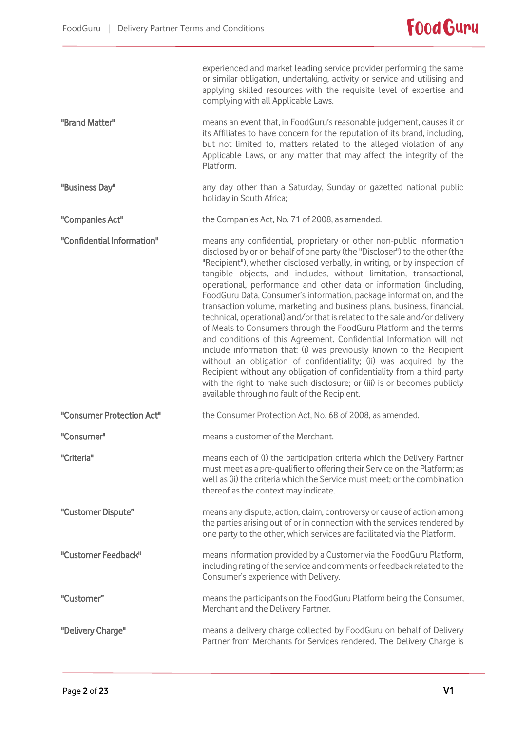|                            | experienced and market leading service provider performing the same<br>or similar obligation, undertaking, activity or service and utilising and<br>applying skilled resources with the requisite level of expertise and<br>complying with all Applicable Laws.                                                                                                                                                                                                                                                                                                                                                                                                                                                                                                                                                                                                                                                                                                                                                                                                                                         |
|----------------------------|---------------------------------------------------------------------------------------------------------------------------------------------------------------------------------------------------------------------------------------------------------------------------------------------------------------------------------------------------------------------------------------------------------------------------------------------------------------------------------------------------------------------------------------------------------------------------------------------------------------------------------------------------------------------------------------------------------------------------------------------------------------------------------------------------------------------------------------------------------------------------------------------------------------------------------------------------------------------------------------------------------------------------------------------------------------------------------------------------------|
| "Brand Matter"             | means an event that, in FoodGuru's reasonable judgement, causes it or<br>its Affiliates to have concern for the reputation of its brand, including,<br>but not limited to, matters related to the alleged violation of any<br>Applicable Laws, or any matter that may affect the integrity of the<br>Platform.                                                                                                                                                                                                                                                                                                                                                                                                                                                                                                                                                                                                                                                                                                                                                                                          |
| "Business Day"             | any day other than a Saturday, Sunday or gazetted national public<br>holiday in South Africa;                                                                                                                                                                                                                                                                                                                                                                                                                                                                                                                                                                                                                                                                                                                                                                                                                                                                                                                                                                                                           |
| "Companies Act"            | the Companies Act, No. 71 of 2008, as amended.                                                                                                                                                                                                                                                                                                                                                                                                                                                                                                                                                                                                                                                                                                                                                                                                                                                                                                                                                                                                                                                          |
| "Confidential Information" | means any confidential, proprietary or other non-public information<br>disclosed by or on behalf of one party (the "Discloser") to the other (the<br>"Recipient"), whether disclosed verbally, in writing, or by inspection of<br>tangible objects, and includes, without limitation, transactional,<br>operational, performance and other data or information (including,<br>FoodGuru Data, Consumer's information, package information, and the<br>transaction volume, marketing and business plans, business, financial,<br>technical, operational) and/or that is related to the sale and/or delivery<br>of Meals to Consumers through the FoodGuru Platform and the terms<br>and conditions of this Agreement. Confidential Information will not<br>include information that: (i) was previously known to the Recipient<br>without an obligation of confidentiality; (ii) was acquired by the<br>Recipient without any obligation of confidentiality from a third party<br>with the right to make such disclosure; or (iii) is or becomes publicly<br>available through no fault of the Recipient. |
| "Consumer Protection Act"  | the Consumer Protection Act, No. 68 of 2008, as amended.                                                                                                                                                                                                                                                                                                                                                                                                                                                                                                                                                                                                                                                                                                                                                                                                                                                                                                                                                                                                                                                |
| "Consumer"                 | means a customer of the Merchant.                                                                                                                                                                                                                                                                                                                                                                                                                                                                                                                                                                                                                                                                                                                                                                                                                                                                                                                                                                                                                                                                       |
| "Criteria"                 | means each of (i) the participation criteria which the Delivery Partner<br>must meet as a pre-qualifier to offering their Service on the Platform; as<br>well as (ii) the criteria which the Service must meet; or the combination<br>thereof as the context may indicate.                                                                                                                                                                                                                                                                                                                                                                                                                                                                                                                                                                                                                                                                                                                                                                                                                              |
| "Customer Dispute"         | means any dispute, action, claim, controversy or cause of action among<br>the parties arising out of or in connection with the services rendered by<br>one party to the other, which services are facilitated via the Platform.                                                                                                                                                                                                                                                                                                                                                                                                                                                                                                                                                                                                                                                                                                                                                                                                                                                                         |
| "Customer Feedback"        | means information provided by a Customer via the FoodGuru Platform,<br>including rating of the service and comments or feedback related to the<br>Consumer's experience with Delivery.                                                                                                                                                                                                                                                                                                                                                                                                                                                                                                                                                                                                                                                                                                                                                                                                                                                                                                                  |
| "Customer"                 | means the participants on the FoodGuru Platform being the Consumer,<br>Merchant and the Delivery Partner.                                                                                                                                                                                                                                                                                                                                                                                                                                                                                                                                                                                                                                                                                                                                                                                                                                                                                                                                                                                               |
| "Delivery Charge"          | means a delivery charge collected by FoodGuru on behalf of Delivery<br>Partner from Merchants for Services rendered. The Delivery Charge is                                                                                                                                                                                                                                                                                                                                                                                                                                                                                                                                                                                                                                                                                                                                                                                                                                                                                                                                                             |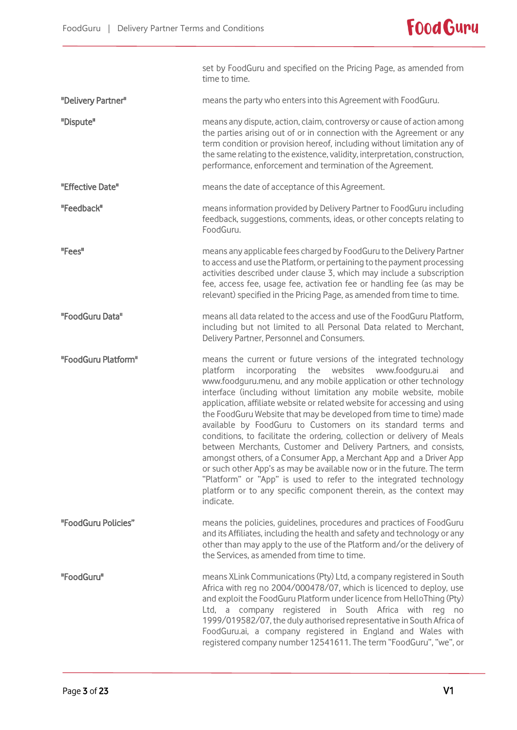

|                     | set by FoodGuru and specified on the Pricing Page, as amended from<br>time to time.                                                                                                                                                                                                                                                                                                                                                                                                                                                                                                                                                                                                                                                                                                                                                                                                                                                                       |
|---------------------|-----------------------------------------------------------------------------------------------------------------------------------------------------------------------------------------------------------------------------------------------------------------------------------------------------------------------------------------------------------------------------------------------------------------------------------------------------------------------------------------------------------------------------------------------------------------------------------------------------------------------------------------------------------------------------------------------------------------------------------------------------------------------------------------------------------------------------------------------------------------------------------------------------------------------------------------------------------|
| "Delivery Partner"  | means the party who enters into this Agreement with FoodGuru.                                                                                                                                                                                                                                                                                                                                                                                                                                                                                                                                                                                                                                                                                                                                                                                                                                                                                             |
| "Dispute"           | means any dispute, action, claim, controversy or cause of action among<br>the parties arising out of or in connection with the Agreement or any<br>term condition or provision hereof, including without limitation any of<br>the same relating to the existence, validity, interpretation, construction,<br>performance, enforcement and termination of the Agreement.                                                                                                                                                                                                                                                                                                                                                                                                                                                                                                                                                                                   |
| "Effective Date"    | means the date of acceptance of this Agreement.                                                                                                                                                                                                                                                                                                                                                                                                                                                                                                                                                                                                                                                                                                                                                                                                                                                                                                           |
| "Feedback"          | means information provided by Delivery Partner to FoodGuru including<br>feedback, suggestions, comments, ideas, or other concepts relating to<br>FoodGuru.                                                                                                                                                                                                                                                                                                                                                                                                                                                                                                                                                                                                                                                                                                                                                                                                |
| "Fees"              | means any applicable fees charged by FoodGuru to the Delivery Partner<br>to access and use the Platform, or pertaining to the payment processing<br>activities described under clause 3, which may include a subscription<br>fee, access fee, usage fee, activation fee or handling fee (as may be<br>relevant) specified in the Pricing Page, as amended from time to time.                                                                                                                                                                                                                                                                                                                                                                                                                                                                                                                                                                              |
| "FoodGuru Data"     | means all data related to the access and use of the FoodGuru Platform,<br>including but not limited to all Personal Data related to Merchant,<br>Delivery Partner, Personnel and Consumers.                                                                                                                                                                                                                                                                                                                                                                                                                                                                                                                                                                                                                                                                                                                                                               |
| "FoodGuru Platform" | means the current or future versions of the integrated technology<br>incorporating the websites<br>www.foodguru.ai<br>platform<br>and<br>www.foodguru.menu, and any mobile application or other technology<br>interface (including without limitation any mobile website, mobile<br>application, affiliate website or related website for accessing and using<br>the FoodGuru Website that may be developed from time to time) made<br>available by FoodGuru to Customers on its standard terms and<br>conditions, to facilitate the ordering, collection or delivery of Meals<br>between Merchants, Customer and Delivery Partners, and consists,<br>amongst others, of a Consumer App, a Merchant App and a Driver App<br>or such other App's as may be available now or in the future. The term<br>"Platform" or "App" is used to refer to the integrated technology<br>platform or to any specific component therein, as the context may<br>indicate. |
| "FoodGuru Policies" | means the policies, guidelines, procedures and practices of FoodGuru<br>and its Affiliates, including the health and safety and technology or any<br>other than may apply to the use of the Platform and/or the delivery of<br>the Services, as amended from time to time.                                                                                                                                                                                                                                                                                                                                                                                                                                                                                                                                                                                                                                                                                |
| "FoodGuru"          | means XLink Communications (Pty) Ltd, a company registered in South<br>Africa with reg no 2004/000478/07, which is licenced to deploy, use<br>and exploit the FoodGuru Platform under licence from HelloThing (Pty)<br>Ltd, a company registered in South Africa with reg no<br>1999/019582/07, the duly authorised representative in South Africa of<br>FoodGuru.ai, a company registered in England and Wales with<br>registered company number 12541611. The term "FoodGuru", "we", or                                                                                                                                                                                                                                                                                                                                                                                                                                                                 |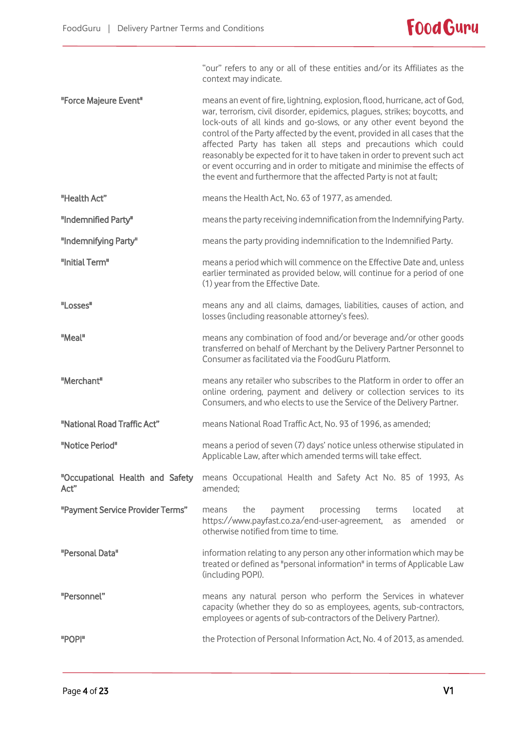"our" refers to any or all of these entities and/or its Affiliates as the context may indicate.

- "Force Majeure Event" means an event of fire, lightning, explosion, flood, hurricane, act of God, war, terrorism, civil disorder, epidemics, plagues, strikes; boycotts, and lock-outs of all kinds and go-slows, or any other event beyond the control of the Party affected by the event, provided in all cases that the affected Party has taken all steps and precautions which could reasonably be expected for it to have taken in order to prevent such act or event occurring and in order to mitigate and minimise the effects of the event and furthermore that the affected Party is not at fault;
- "Health Act" means the Health Act, No. 63 of 1977, as amended.
- "Indemnified Party" means the party receiving indemnification from the Indemnifying Party.
- "Indemnifying Party" means the party providing indemnification to the Indemnified Party.
- "Initial Term" means a period which will commence on the Effective Date and, unless earlier terminated as provided below, will continue for a period of one (1) year from the Effective Date.
- "Losses" means any and all claims, damages, liabilities, causes of action, and losses (including reasonable attorney's fees).
- "Meal" means any combination of food and/or beverage and/or other goods transferred on behalf of Merchant by the Delivery Partner Personnel to Consumer as facilitated via the FoodGuru Platform.
- "Merchant" means any retailer who subscribes to the Platform in order to offer an online ordering, payment and delivery or collection services to its Consumers, and who elects to use the Service of the Delivery Partner.
- "National Road Traffic Act" means National Road Traffic Act, No. 93 of 1996, as amended;
- "Notice Period" means a period of seven (7) days' notice unless otherwise stipulated in Applicable Law, after which amended terms will take effect.
- "Occupational Health and Safety Act" means Occupational Health and Safety Act No. 85 of 1993, As amended;
- "Payment Service Provider Terms" means the payment processing terms located at https://www.payfast.co.za/end-user-agreement, as amended or otherwise notified from time to time.
- "Personal Data" information relating to any person any other information which may be treated or defined as "personal information" in terms of Applicable Law (including POPI).
- "Personnel" means any natural person who perform the Services in whatever capacity (whether they do so as employees, agents, sub-contractors, employees or agents of sub-contractors of the Delivery Partner).
- "POPI" the Protection of Personal Information Act, No. 4 of 2013, as amended.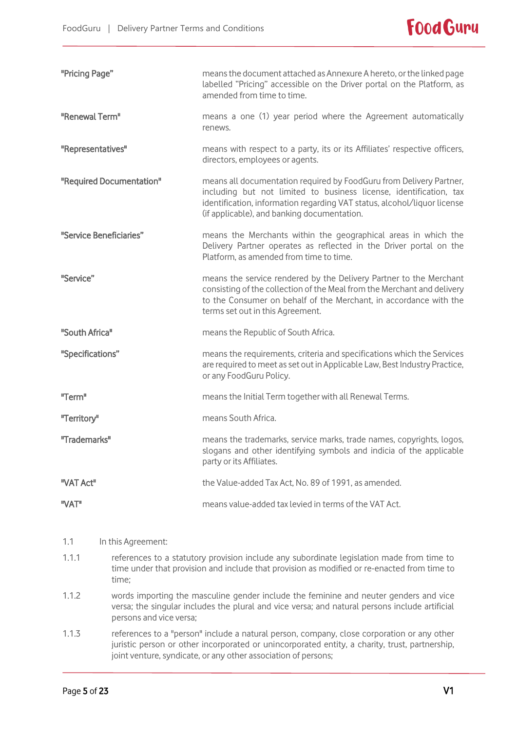

| "Pricing Page"          |                                                                                                                                                                                                                    | means the document attached as Annexure A hereto, or the linked page<br>labelled "Pricing" accessible on the Driver portal on the Platform, as<br>amended from time to time.                                                                                         |
|-------------------------|--------------------------------------------------------------------------------------------------------------------------------------------------------------------------------------------------------------------|----------------------------------------------------------------------------------------------------------------------------------------------------------------------------------------------------------------------------------------------------------------------|
| "Renewal Term"          |                                                                                                                                                                                                                    | means a one (1) year period where the Agreement automatically<br>renews.                                                                                                                                                                                             |
| "Representatives"       |                                                                                                                                                                                                                    | means with respect to a party, its or its Affiliates' respective officers,<br>directors, employees or agents.                                                                                                                                                        |
|                         | "Required Documentation"                                                                                                                                                                                           | means all documentation required by FoodGuru from Delivery Partner,<br>including but not limited to business license, identification, tax<br>identification, information regarding VAT status, alcohol/liquor license<br>(if applicable), and banking documentation. |
| "Service Beneficiaries" |                                                                                                                                                                                                                    | means the Merchants within the geographical areas in which the<br>Delivery Partner operates as reflected in the Driver portal on the<br>Platform, as amended from time to time.                                                                                      |
| "Service"               |                                                                                                                                                                                                                    | means the service rendered by the Delivery Partner to the Merchant<br>consisting of the collection of the Meal from the Merchant and delivery<br>to the Consumer on behalf of the Merchant, in accordance with the<br>terms set out in this Agreement.               |
| "South Africa"          |                                                                                                                                                                                                                    | means the Republic of South Africa.                                                                                                                                                                                                                                  |
| "Specifications"        |                                                                                                                                                                                                                    | means the requirements, criteria and specifications which the Services<br>are required to meet as set out in Applicable Law, Best Industry Practice,<br>or any FoodGuru Policy.                                                                                      |
| "Term"                  |                                                                                                                                                                                                                    | means the Initial Term together with all Renewal Terms.                                                                                                                                                                                                              |
| "Territory"             |                                                                                                                                                                                                                    | means South Africa.                                                                                                                                                                                                                                                  |
| "Trademarks"            |                                                                                                                                                                                                                    | means the trademarks, service marks, trade names, copyrights, logos,<br>slogans and other identifying symbols and indicia of the applicable<br>party or its Affiliates.                                                                                              |
| "VAT Act"               |                                                                                                                                                                                                                    | the Value-added Tax Act, No. 89 of 1991, as amended.                                                                                                                                                                                                                 |
| "VAT"                   |                                                                                                                                                                                                                    | means value-added tax levied in terms of the VAT Act.                                                                                                                                                                                                                |
| 1.1                     | In this Agreement:                                                                                                                                                                                                 |                                                                                                                                                                                                                                                                      |
| 1.1.1                   | references to a statutory provision include any subordinate legislation made from time to<br>time under that provision and include that provision as modified or re-enacted from time to<br>time;                  |                                                                                                                                                                                                                                                                      |
| 1.1.2                   | words importing the masculine gender include the feminine and neuter genders and vice<br>versa; the singular includes the plural and vice versa; and natural persons include artificial<br>persons and vice versa; |                                                                                                                                                                                                                                                                      |

1.1.3 references to a "person" include a natural person, company, close corporation or any other juristic person or other incorporated or unincorporated entity, a charity, trust, partnership, joint venture, syndicate, or any other association of persons;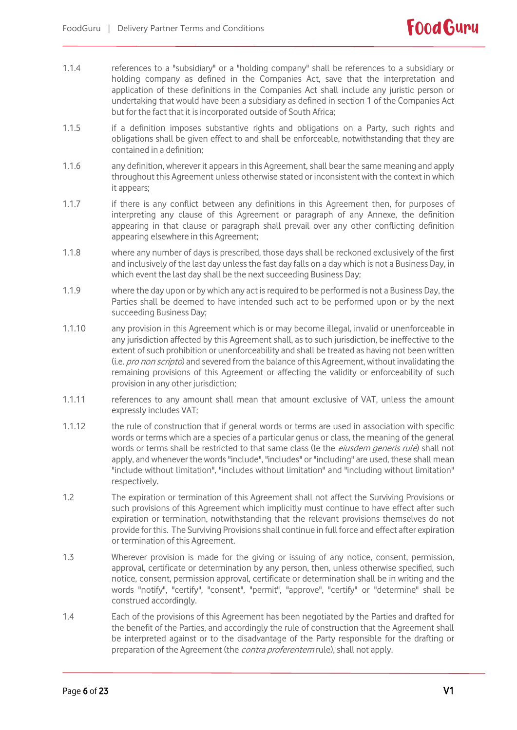- 1.1.4 references to a "subsidiary" or a "holding company" shall be references to a subsidiary or holding company as defined in the Companies Act, save that the interpretation and application of these definitions in the Companies Act shall include any juristic person or undertaking that would have been a subsidiary as defined in section 1 of the Companies Act but for the fact that it is incorporated outside of South Africa;
- 1.1.5 if a definition imposes substantive rights and obligations on a Party, such rights and obligations shall be given effect to and shall be enforceable, notwithstanding that they are contained in a definition;
- 1.1.6 any definition, wherever it appears in this Agreement, shall bear the same meaning and apply throughout this Agreement unless otherwise stated or inconsistent with the context in which it appears;
- 1.1.7 if there is any conflict between any definitions in this Agreement then, for purposes of interpreting any clause of this Agreement or paragraph of any Annexe, the definition appearing in that clause or paragraph shall prevail over any other conflicting definition appearing elsewhere in this Agreement;
- 1.1.8 where any number of days is prescribed, those days shall be reckoned exclusively of the first and inclusively of the last day unless the fast day falls on a day which is not a Business Day, in which event the last day shall be the next succeeding Business Day;
- 1.1.9 where the day upon or by which any act is required to be performed is not a Business Day, the Parties shall be deemed to have intended such act to be performed upon or by the next succeeding Business Day;
- 1.1.10 any provision in this Agreement which is or may become illegal, invalid or unenforceable in any jurisdiction affected by this Agreement shall, as to such jurisdiction, be ineffective to the extent of such prohibition or unenforceability and shall be treated as having not been written (i.e. pro non scripto) and severed from the balance of this Agreement, without invalidating the remaining provisions of this Agreement or affecting the validity or enforceability of such provision in any other jurisdiction;
- 1.1.11 references to any amount shall mean that amount exclusive of VAT, unless the amount expressly includes VAT;
- 1.1.12 the rule of construction that if general words or terms are used in association with specific words or terms which are a species of a particular genus or class, the meaning of the general words or terms shall be restricted to that same class (le the eiusdem generis rule) shall not apply, and whenever the words "include", "includes" or "including" are used, these shall mean "include without limitation", "includes without limitation" and "including without limitation" respectively.
- 1.2 The expiration or termination of this Agreement shall not affect the Surviving Provisions or such provisions of this Agreement which implicitly must continue to have effect after such expiration or termination, notwithstanding that the relevant provisions themselves do not provide for this. The Surviving Provisions shall continue in full force and effect after expiration or termination of this Agreement.
- 1.3 Wherever provision is made for the giving or issuing of any notice, consent, permission, approval, certificate or determination by any person, then, unless otherwise specified, such notice, consent, permission approval, certificate or determination shall be in writing and the words "notify", "certify", "consent", "permit", "approve", "certify" or "determine" shall be construed accordingly.
- 1.4 Each of the provisions of this Agreement has been negotiated by the Parties and drafted for the benefit of the Parties, and accordingly the rule of construction that the Agreement shall be interpreted against or to the disadvantage of the Party responsible for the drafting or preparation of the Agreement (the *contra proferentem* rule), shall not apply.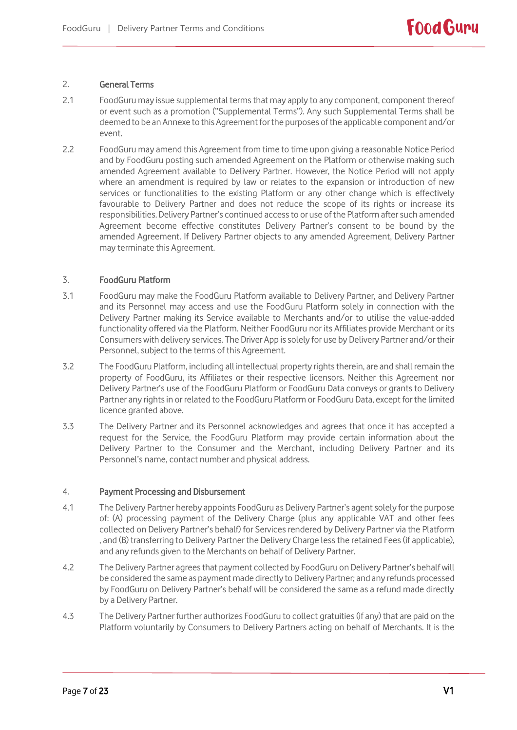# 2. General Terms

- 2.1 FoodGuru may issue supplemental terms that may apply to any component, component thereof or event such as a promotion ("Supplemental Terms"). Any such Supplemental Terms shall be deemed to be an Annexe to this Agreement for the purposes of the applicable component and/or event.
- 2.2 FoodGuru may amend this Agreement from time to time upon giving a reasonable Notice Period and by FoodGuru posting such amended Agreement on the Platform or otherwise making such amended Agreement available to Delivery Partner. However, the Notice Period will not apply where an amendment is required by law or relates to the expansion or introduction of new services or functionalities to the existing Platform or any other change which is effectively favourable to Delivery Partner and does not reduce the scope of its rights or increase its responsibilities. Delivery Partner's continued access to or use of the Platform after such amended Agreement become effective constitutes Delivery Partner's consent to be bound by the amended Agreement. If Delivery Partner objects to any amended Agreement, Delivery Partner may terminate this Agreement.

# 3. FoodGuru Platform

- 3.1 FoodGuru may make the FoodGuru Platform available to Delivery Partner, and Delivery Partner and its Personnel may access and use the FoodGuru Platform solely in connection with the Delivery Partner making its Service available to Merchants and/or to utilise the value-added functionality offered via the Platform. Neither FoodGuru nor its Affiliates provide Merchant or its Consumers with delivery services. The Driver App is solely for use by Delivery Partner and/or their Personnel, subject to the terms of this Agreement.
- 3.2 The FoodGuru Platform, including all intellectual property rights therein, are and shall remain the property of FoodGuru, its Affiliates or their respective licensors. Neither this Agreement nor Delivery Partner's use of the FoodGuru Platform or FoodGuru Data conveys or grants to Delivery Partner any rights in or related to the FoodGuru Platform or FoodGuru Data, except for the limited licence granted above.
- 3.3 The Delivery Partner and its Personnel acknowledges and agrees that once it has accepted a request for the Service, the FoodGuru Platform may provide certain information about the Delivery Partner to the Consumer and the Merchant, including Delivery Partner and its Personnel's name, contact number and physical address.

# 4. Payment Processing and Disbursement

- 4.1 The Delivery Partner hereby appoints FoodGuru as Delivery Partner's agent solely for the purpose of: (A) processing payment of the Delivery Charge (plus any applicable VAT and other fees collected on Delivery Partner's behalf) for Services rendered by Delivery Partner via the Platform , and (B) transferring to Delivery Partner the Delivery Charge less the retained Fees(if applicable), and any refunds given to the Merchants on behalf of Delivery Partner.
- 4.2 The Delivery Partner agrees that payment collected by FoodGuru on Delivery Partner's behalf will be considered the same as payment made directly to Delivery Partner; and any refunds processed by FoodGuru on Delivery Partner's behalf will be considered the same as a refund made directly by a Delivery Partner.
- 4.3 The Delivery Partner further authorizes FoodGuru to collect gratuities (if any) that are paid on the Platform voluntarily by Consumers to Delivery Partners acting on behalf of Merchants. It is the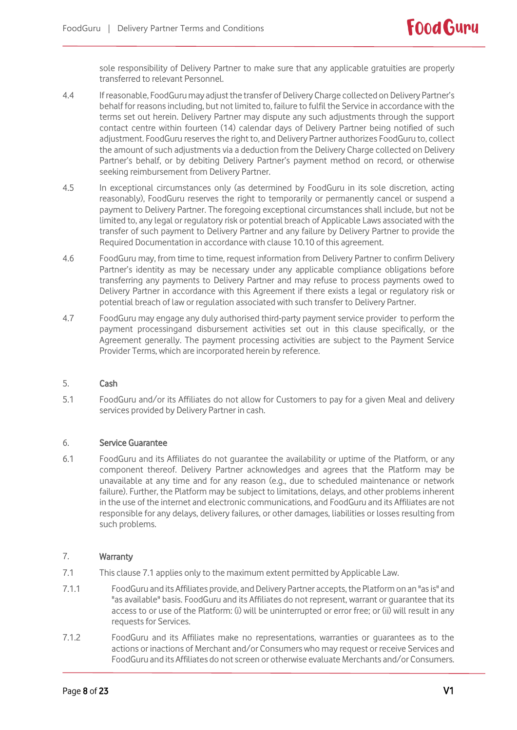sole responsibility of Delivery Partner to make sure that any applicable gratuities are properly transferred to relevant Personnel.

- 4.4 If reasonable, FoodGurumay adjust the transfer of Delivery Charge collected on Delivery Partner's behalf for reasons including, but not limited to, failure to fulfil the Service in accordance with the terms set out herein. Delivery Partner may dispute any such adjustments through the support contact centre within fourteen (14) calendar days of Delivery Partner being notified of such adjustment. FoodGuru reserves the right to, and Delivery Partner authorizes FoodGuru to, collect the amount of such adjustments via a deduction from the Delivery Charge collected on Delivery Partner's behalf, or by debiting Delivery Partner's payment method on record, or otherwise seeking reimbursement from Delivery Partner.
- 4.5 In exceptional circumstances only (as determined by FoodGuru in its sole discretion, acting reasonably), FoodGuru reserves the right to temporarily or permanently cancel or suspend a payment to Delivery Partner. The foregoing exceptional circumstances shall include, but not be limited to, any legal or regulatory risk or potential breach of Applicable Laws associated with the transfer of such payment to Delivery Partner and any failure by Delivery Partner to provide the Required Documentation in accordance with clause 10.10 of this agreement.
- 4.6 FoodGuru may, from time to time, request information from Delivery Partner to confirm Delivery Partner's identity as may be necessary under any applicable compliance obligations before transferring any payments to Delivery Partner and may refuse to process payments owed to Delivery Partner in accordance with this Agreement if there exists a legal or regulatory risk or potential breach of law or regulation associated with such transfer to Delivery Partner.
- 4.7 FoodGuru may engage any duly authorised third-party payment service provider to perform the payment processingand disbursement activities set out in this clause specifically, or the Agreement generally. The payment processing activities are subject to the Payment Service Provider Terms, which are incorporated herein by reference.

# 5. Cash

5.1 FoodGuru and/or its Affiliates do not allow for Customers to pay for a given Meal and delivery services provided by Delivery Partner in cash.

### 6. Service Guarantee

6.1 FoodGuru and its Affiliates do not guarantee the availability or uptime of the Platform, or any component thereof. Delivery Partner acknowledges and agrees that the Platform may be unavailable at any time and for any reason (e.g., due to scheduled maintenance or network failure). Further, the Platform may be subject to limitations, delays, and other problems inherent in the use of the internet and electronic communications, and FoodGuru and its Affiliates are not responsible for any delays, delivery failures, or other damages, liabilities or losses resulting from such problems.

# 7. Warranty

- 7.1 This clause 7.1 applies only to the maximum extent permitted by Applicable Law.
- 7.1.1 FoodGuru and its Affiliates provide, and Delivery Partner accepts, the Platformon an "as is" and "as available" basis. FoodGuru and its Affiliates do not represent, warrant or guarantee that its access to or use of the Platform: (i) will be uninterrupted or error free; or (ii) will result in any requests for Services.
- 7.1.2 FoodGuru and its Affiliates make no representations, warranties or guarantees as to the actions or inactions of Merchant and/or Consumers who may request or receive Services and FoodGuru and its Affiliates do not screen or otherwise evaluate Merchants and/or Consumers.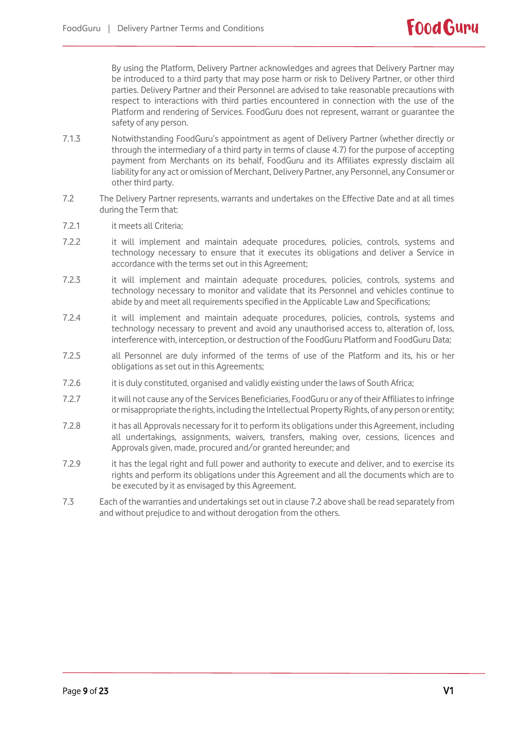By using the Platform, Delivery Partner acknowledges and agrees that Delivery Partner may be introduced to a third party that may pose harm or risk to Delivery Partner, or other third parties. Delivery Partner and their Personnel are advised to take reasonable precautions with respect to interactions with third parties encountered in connection with the use of the Platform and rendering of Services. FoodGuru does not represent, warrant or guarantee the safety of any person.

- 7.1.3 Notwithstanding FoodGuru's appointment as agent of Delivery Partner (whether directly or through the intermediary of a third party in terms of clause 4.7) for the purpose of accepting payment from Merchants on its behalf, FoodGuru and its Affiliates expressly disclaim all liability for any act or omission of Merchant, Delivery Partner, any Personnel, any Consumer or other third party.
- 7.2 The Delivery Partner represents, warrants and undertakes on the Effective Date and at all times during the Term that:
- 7.2.1 it meets all Criteria;
- 7.2.2 it will implement and maintain adequate procedures, policies, controls, systems and technology necessary to ensure that it executes its obligations and deliver a Service in accordance with the terms set out in this Agreement;
- 7.2.3 it will implement and maintain adequate procedures, policies, controls, systems and technology necessary to monitor and validate that its Personnel and vehicles continue to abide by and meet all requirements specified in the Applicable Law and Specifications;
- 7.2.4 it will implement and maintain adequate procedures, policies, controls, systems and technology necessary to prevent and avoid any unauthorised access to, alteration of, loss, interference with, interception, or destruction of the FoodGuru Platform and FoodGuru Data;
- 7.2.5 all Personnel are duly informed of the terms of use of the Platform and its, his or her obligations as set out in this Agreements;
- 7.2.6 it is duly constituted, organised and validly existing under the laws of South Africa;
- 7.2.7 it will not cause any of the Services Beneficiaries, FoodGuru or any of their Affiliates to infringe or misappropriate the rights, including the Intellectual Property Rights, of any person or entity;
- 7.2.8 it has all Approvals necessary for it to perform its obligations under this Agreement, including all undertakings, assignments, waivers, transfers, making over, cessions, licences and Approvals given, made, procured and/or granted hereunder; and
- 7.2.9 it has the legal right and full power and authority to execute and deliver, and to exercise its rights and perform its obligations under this Agreement and all the documents which are to be executed by it as envisaged by this Agreement.
- 7.3 Each of the warranties and undertakings set out in clause 7.2 above shall be read separately from and without prejudice to and without derogation from the others.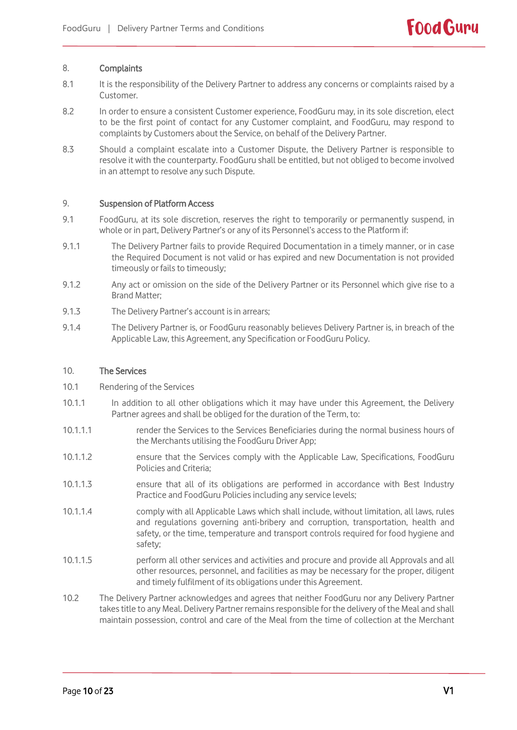### 8. Complaints

- 8.1 It is the responsibility of the Delivery Partner to address any concerns or complaints raised by a Customer.
- 8.2 In order to ensure a consistent Customer experience, FoodGuru may, in its sole discretion, elect to be the first point of contact for any Customer complaint, and FoodGuru, may respond to complaints by Customers about the Service, on behalf of the Delivery Partner.
- 8.3 Should a complaint escalate into a Customer Dispute, the Delivery Partner is responsible to resolve it with the counterparty. FoodGuru shall be entitled, but not obliged to become involved in an attempt to resolve any such Dispute.

# 9. Suspension of Platform Access

- 9.1 FoodGuru, at its sole discretion, reserves the right to temporarily or permanently suspend, in whole or in part, Delivery Partner's or any of its Personnel's access to the Platform if:
- 9.1.1 The Delivery Partner fails to provide Required Documentation in a timely manner, or in case the Required Document is not valid or has expired and new Documentation is not provided timeously or fails to timeously;
- 9.1.2 Any act or omission on the side of the Delivery Partner or its Personnel which give rise to a Brand Matter;
- 9.1.3 The Delivery Partner's account is in arrears;
- 9.1.4 The Delivery Partner is, or FoodGuru reasonably believes Delivery Partner is, in breach of the Applicable Law, this Agreement, any Specification or FoodGuru Policy.

### 10. The Services

- 10.1 Rendering of the Services
- 10.1.1 In addition to all other obligations which it may have under this Agreement, the Delivery Partner agrees and shall be obliged for the duration of the Term, to:
- 10.1.1.1 render the Services to the Services Beneficiaries during the normal business hours of the Merchants utilising the FoodGuru Driver App;
- 10.1.1.2 ensure that the Services comply with the Applicable Law, Specifications, FoodGuru Policies and Criteria;
- 10.1.1.3 ensure that all of its obligations are performed in accordance with Best Industry Practice and FoodGuru Policies including any service levels;
- 10.1.1.4 comply with all Applicable Laws which shall include, without limitation, all laws, rules and regulations governing anti-bribery and corruption, transportation, health and safety, or the time, temperature and transport controls required for food hygiene and safety;
- 10.1.1.5 perform all other services and activities and procure and provide all Approvals and all other resources, personnel, and facilities as may be necessary for the proper, diligent and timely fulfilment of its obligations under this Agreement.
- 10.2 The Delivery Partner acknowledges and agrees that neither FoodGuru nor any Delivery Partner takes title to any Meal. Delivery Partner remains responsible for the delivery of the Meal and shall maintain possession, control and care of the Meal from the time of collection at the Merchant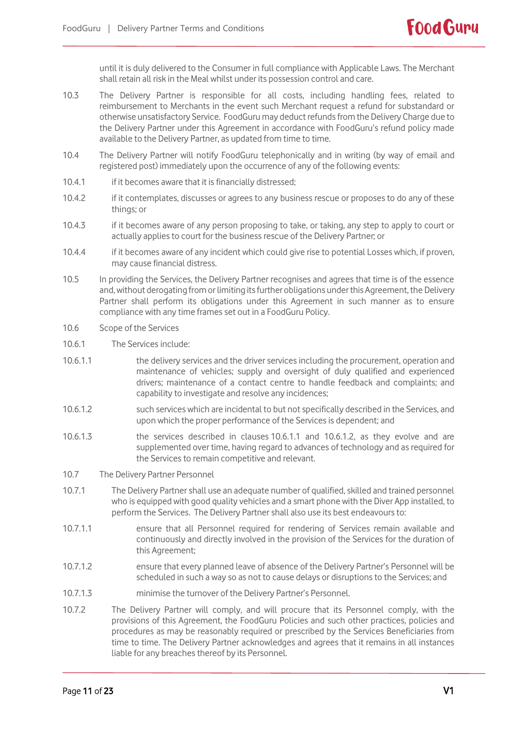until it is duly delivered to the Consumer in full compliance with Applicable Laws. The Merchant shall retain all risk in the Meal whilst under its possession control and care.

- 10.3 The Delivery Partner is responsible for all costs, including handling fees, related to reimbursement to Merchants in the event such Merchant request a refund for substandard or otherwise unsatisfactory Service. FoodGuru may deduct refunds from the Delivery Charge due to the Delivery Partner under this Agreement in accordance with FoodGuru's refund policy made available to the Delivery Partner, as updated from time to time.
- 10.4 The Delivery Partner will notify FoodGuru telephonically and in writing (by way of email and registered post) immediately upon the occurrence of any of the following events:
- 10.4.1 if it becomes aware that it is financially distressed;
- 10.4.2 if it contemplates, discusses or agrees to any business rescue or proposes to do any of these things; or
- 10.4.3 if it becomes aware of any person proposing to take, or taking, any step to apply to court or actually applies to court for the business rescue of the Delivery Partner; or
- 10.4.4 if it becomes aware of any incident which could give rise to potential Losses which, if proven, may cause financial distress.
- 10.5 In providing the Services, the Delivery Partner recognises and agrees that time is of the essence and, without derogating from or limiting its further obligations under this Agreement, the Delivery Partner shall perform its obligations under this Agreement in such manner as to ensure compliance with any time frames set out in a FoodGuru Policy.
- 10.6 Scope of the Services
- 10.6.1 The Services include:
- <span id="page-10-0"></span>10.6.1.1 the delivery services and the driver services including the procurement, operation and maintenance of vehicles; supply and oversight of duly qualified and experienced drivers; maintenance of a contact centre to handle feedback and complaints; and capability to investigate and resolve any incidences;
- <span id="page-10-1"></span>10.6.1.2 such services which are incidental to but not specifically described in the Services, and upon which the proper performance of the Services is dependent; and
- 10.6.1.3 the services described in clauses [10.6.1.1](#page-10-0) and [10.6.1.2,](#page-10-1) as they evolve and are supplemented over time, having regard to advances of technology and as required for the Services to remain competitive and relevant.
- 10.7 The Delivery Partner Personnel
- 10.7.1 The Delivery Partner shall use an adequate number of qualified, skilled and trained personnel who is equipped with good quality vehicles and a smart phone with the Diver App installed, to perform the Services. The Delivery Partner shall also use its best endeavours to:
- 10.7.1.1 ensure that all Personnel required for rendering of Services remain available and continuously and directly involved in the provision of the Services for the duration of this Agreement;
- 10.7.1.2 ensure that every planned leave of absence of the Delivery Partner's Personnel will be scheduled in such a way so as not to cause delays or disruptions to the Services; and
- 10.7.1.3 minimise the turnover of the Delivery Partner's Personnel.
- 10.7.2 The Delivery Partner will comply, and will procure that its Personnel comply, with the provisions of this Agreement, the FoodGuru Policies and such other practices, policies and procedures as may be reasonably required or prescribed by the Services Beneficiaries from time to time. The Delivery Partner acknowledges and agrees that it remains in all instances liable for any breaches thereof by its Personnel.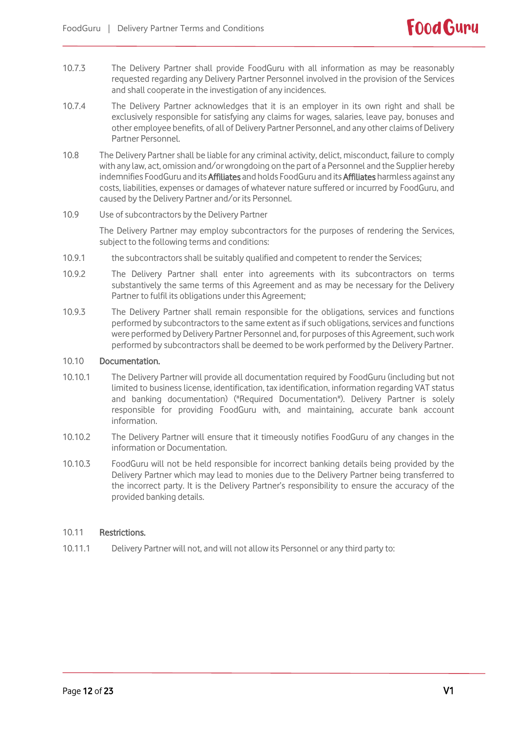- 10.7.3 The Delivery Partner shall provide FoodGuru with all information as may be reasonably requested regarding any Delivery Partner Personnel involved in the provision of the Services and shall cooperate in the investigation of any incidences.
- 10.7.4 The Delivery Partner acknowledges that it is an employer in its own right and shall be exclusively responsible for satisfying any claims for wages, salaries, leave pay, bonuses and other employee benefits, of all of Delivery Partner Personnel, and any other claims of Delivery Partner Personnel.
- 10.8 The Delivery Partner shall be liable for any criminal activity, delict, misconduct, failure to comply with any law, act, omission and/or wrongdoing on the part of a Personnel and the Supplier hereby indemnifies FoodGuru and its Affiliates and holds FoodGuru and its Affiliates harmless against any costs, liabilities, expenses or damages of whatever nature suffered or incurred by FoodGuru, and caused by the Delivery Partner and/or its Personnel.
- 10.9 Use of subcontractors by the Delivery Partner

The Delivery Partner may employ subcontractors for the purposes of rendering the Services, subject to the following terms and conditions:

- 10.9.1 the subcontractors shall be suitably qualified and competent to render the Services;
- 10.9.2 The Delivery Partner shall enter into agreements with its subcontractors on terms substantively the same terms of this Agreement and as may be necessary for the Delivery Partner to fulfil its obligations under this Agreement;
- 10.9.3 The Delivery Partner shall remain responsible for the obligations, services and functions performed by subcontractors to the same extent as if such obligations, services and functions were performed by Delivery Partner Personnel and, for purposes of this Agreement, such work performed by subcontractors shall be deemed to be work performed by the Delivery Partner.

### 10.10 Documentation.

- 10.10.1 The Delivery Partner will provide all documentation required by FoodGuru (including but not limited to business license, identification, tax identification, information regarding VAT status and banking documentation) ("Required Documentation"). Delivery Partner is solely responsible for providing FoodGuru with, and maintaining, accurate bank account information.
- 10.10.2 The Delivery Partner will ensure that it timeously notifies FoodGuru of any changes in the information or Documentation.
- 10.10.3 FoodGuru will not be held responsible for incorrect banking details being provided by the Delivery Partner which may lead to monies due to the Delivery Partner being transferred to the incorrect party. It is the Delivery Partner's responsibility to ensure the accuracy of the provided banking details.

#### 10.11 Restrictions.

10.11.1 Delivery Partner will not, and will not allow its Personnel or any third party to:

**Food Guru**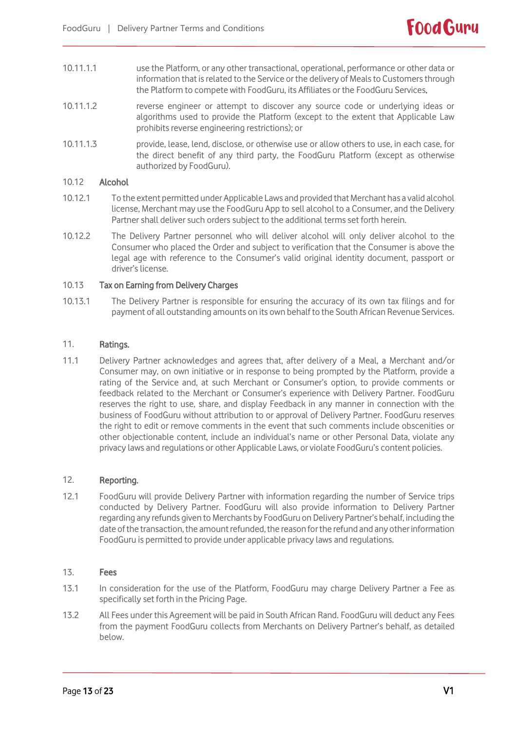- 10.11.1.1 use the Platform, or any other transactional, operational, performance or other data or information that is related to the Service or the delivery of Meals to Customers through the Platform to compete with FoodGuru, its Affiliates or the FoodGuru Services.
- 10.11.1.2 reverse engineer or attempt to discover any source code or underlying ideas or algorithms used to provide the Platform (except to the extent that Applicable Law prohibits reverse engineering restrictions); or
- 10.11.1.3 provide, lease, lend, disclose, or otherwise use or allow others to use, in each case, for the direct benefit of any third party, the FoodGuru Platform (except as otherwise authorized by FoodGuru).

# 10.12 Alcohol

- 10.12.1 To the extent permitted under Applicable Laws and provided that Merchant has a valid alcohol license, Merchant may use the FoodGuru App to sell alcohol to a Consumer, and the Delivery Partner shall deliver such orders subject to the additional terms set forth herein.
- 10.12.2 The Delivery Partner personnel who will deliver alcohol will only deliver alcohol to the Consumer who placed the Order and subject to verification that the Consumer is above the legal age with reference to the Consumer's valid original identity document, passport or driver's license.

# 10.13 Tax on Earning from Delivery Charges

10.13.1 The Delivery Partner is responsible for ensuring the accuracy of its own tax filings and for payment of all outstanding amounts on its own behalf to the South African Revenue Services.

# 11. Ratings.

11.1 Delivery Partner acknowledges and agrees that, after delivery of a Meal, a Merchant and/or Consumer may, on own initiative or in response to being prompted by the Platform, provide a rating of the Service and, at such Merchant or Consumer's option, to provide comments or feedback related to the Merchant or Consumer's experience with Delivery Partner. FoodGuru reserves the right to use, share, and display Feedback in any manner in connection with the business of FoodGuru without attribution to or approval of Delivery Partner. FoodGuru reserves the right to edit or remove comments in the event that such comments include obscenities or other objectionable content, include an individual's name or other Personal Data, violate any privacy laws and regulations or other Applicable Laws, or violate FoodGuru's content policies.

# 12. Reporting.

12.1 FoodGuru will provide Delivery Partner with information regarding the number of Service trips conducted by Delivery Partner. FoodGuru will also provide information to Delivery Partner regarding any refunds given to Merchants by FoodGuru on Delivery Partner's behalf, including the date of the transaction, the amount refunded, the reason for the refund and any other information FoodGuru is permitted to provide under applicable privacy laws and regulations.

#### 13. Fees

- 13.1 In consideration for the use of the Platform, FoodGuru may charge Delivery Partner a Fee as specifically set forth in the Pricing Page.
- 13.2 All Fees under this Agreement will be paid in South African Rand. FoodGuru will deduct any Fees from the payment FoodGuru collects from Merchants on Delivery Partner's behalf, as detailed below.

**Food Guru**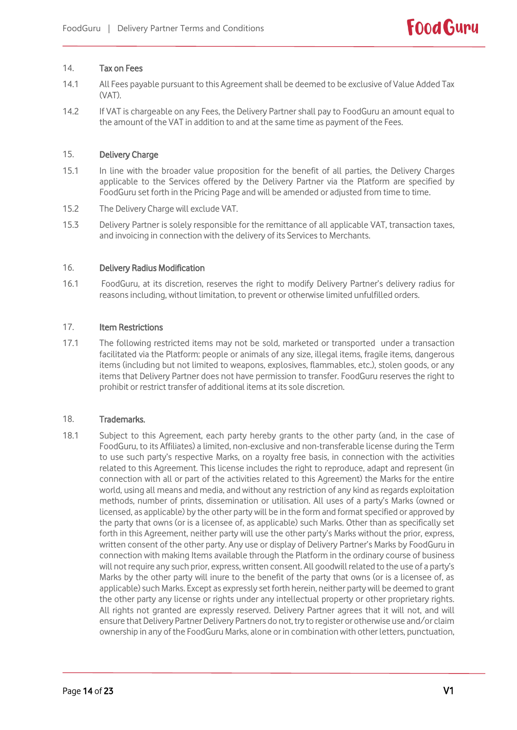### 14. Tax on Fees

- 14.1 All Fees payable pursuant to this Agreement shall be deemed to be exclusive of Value Added Tax (VAT).
- 14.2 If VAT is chargeable on any Fees, the Delivery Partner shall pay to FoodGuru an amount equal to the amount of the VAT in addition to and at the same time as payment of the Fees.

# 15. Delivery Charge

- 15.1 In line with the broader value proposition for the benefit of all parties, the Delivery Charges applicable to the Services offered by the Delivery Partner via the Platform are specified by FoodGuru set forth in the Pricing Page and will be amended or adjusted from time to time.
- 15.2 The Delivery Charge will exclude VAT.
- 15.3 Delivery Partner is solely responsible for the remittance of all applicable VAT, transaction taxes, and invoicing in connection with the delivery of its Services to Merchants.

#### 16. Delivery Radius Modification

16.1 FoodGuru, at its discretion, reserves the right to modify Delivery Partner's delivery radius for reasons including, without limitation, to prevent or otherwise limited unfulfilled orders.

# 17. Item Restrictions

17.1 The following restricted items may not be sold, marketed or transported under a transaction facilitated via the Platform: people or animals of any size, illegal items, fragile items, dangerous items (including but not limited to weapons, explosives, flammables, etc.), stolen goods, or any items that Delivery Partner does not have permission to transfer. FoodGuru reserves the right to prohibit or restrict transfer of additional items at its sole discretion.

#### 18. Trademarks.

18.1 Subject to this Agreement, each party hereby grants to the other party (and, in the case of FoodGuru, to its Affiliates) a limited, non-exclusive and non-transferable license during the Term to use such party's respective Marks, on a royalty free basis, in connection with the activities related to this Agreement. This license includes the right to reproduce, adapt and represent (in connection with all or part of the activities related to this Agreement) the Marks for the entire world, using all means and media, and without any restriction of any kind as regards exploitation methods, number of prints, dissemination or utilisation. All uses of a party's Marks (owned or licensed, as applicable) by the other party will be in the form and format specified or approved by the party that owns (or is a licensee of, as applicable) such Marks. Other than as specifically set forth in this Agreement, neither party will use the other party's Marks without the prior, express, written consent of the other party. Any use or display of Delivery Partner's Marks by FoodGuru in connection with making Items available through the Platform in the ordinary course of business will not require any such prior, express, written consent. All goodwill related to the use of a party's Marks by the other party will inure to the benefit of the party that owns (or is a licensee of, as applicable) such Marks. Except as expressly set forth herein, neither party will be deemed to grant the other party any license or rights under any intellectual property or other proprietary rights. All rights not granted are expressly reserved. Delivery Partner agrees that it will not, and will ensure that Delivery Partner Delivery Partners do not, try to register or otherwise use and/or claim ownership in any of the FoodGuru Marks, alone or in combination with other letters, punctuation,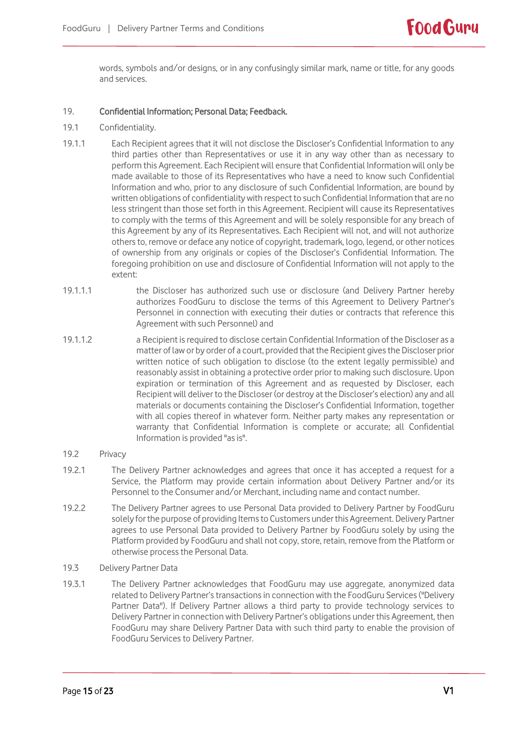words, symbols and/or designs, or in any confusingly similar mark, name or title, for any goods and services.

# 19. Confidential Information; Personal Data; Feedback.

- 19.1 Confidentiality.
- 19.1.1 Each Recipient agrees that it will not disclose the Discloser's Confidential Information to any third parties other than Representatives or use it in any way other than as necessary to perform this Agreement. Each Recipient will ensure that Confidential Information will only be made available to those of its Representatives who have a need to know such Confidential Information and who, prior to any disclosure of such Confidential Information, are bound by written obligations of confidentiality with respect to such Confidential Information that are no less stringent than those set forth in this Agreement. Recipient will cause its Representatives to comply with the terms of this Agreement and will be solely responsible for any breach of this Agreement by any of its Representatives. Each Recipient will not, and will not authorize others to, remove or deface any notice of copyright, trademark, logo, legend, or other notices of ownership from any originals or copies of the Discloser's Confidential Information. The foregoing prohibition on use and disclosure of Confidential Information will not apply to the extent:
- 19.1.1.1 the Discloser has authorized such use or disclosure (and Delivery Partner hereby authorizes FoodGuru to disclose the terms of this Agreement to Delivery Partner's Personnel in connection with executing their duties or contracts that reference this Agreement with such Personnel) and
- 19.1.1.2 a Recipient is required to disclose certain Confidential Information of the Discloser as a matter of law or by order of a court, provided that the Recipient gives the Discloser prior written notice of such obligation to disclose (to the extent legally permissible) and reasonably assist in obtaining a protective order prior to making such disclosure. Upon expiration or termination of this Agreement and as requested by Discloser, each Recipient will deliver to the Discloser (or destroy at the Discloser's election) any and all materials or documents containing the Discloser's Confidential Information, together with all copies thereof in whatever form. Neither party makes any representation or warranty that Confidential Information is complete or accurate; all Confidential Information is provided "as is".
- 19.2 Privacy
- 19.2.1 The Delivery Partner acknowledges and agrees that once it has accepted a request for a Service, the Platform may provide certain information about Delivery Partner and/or its Personnel to the Consumer and/or Merchant, including name and contact number.
- 19.2.2 The Delivery Partner agrees to use Personal Data provided to Delivery Partner by FoodGuru solely for the purpose of providing Items to Customers under this Agreement. Delivery Partner agrees to use Personal Data provided to Delivery Partner by FoodGuru solely by using the Platform provided by FoodGuru and shall not copy, store, retain, remove from the Platform or otherwise process the Personal Data.
- 19.3 Delivery Partner Data
- 19.3.1 The Delivery Partner acknowledges that FoodGuru may use aggregate, anonymized data related to Delivery Partner's transactions in connection with the FoodGuru Services ("Delivery Partner Data"). If Delivery Partner allows a third party to provide technology services to Delivery Partner in connection with Delivery Partner's obligations under this Agreement, then FoodGuru may share Delivery Partner Data with such third party to enable the provision of FoodGuru Services to Delivery Partner.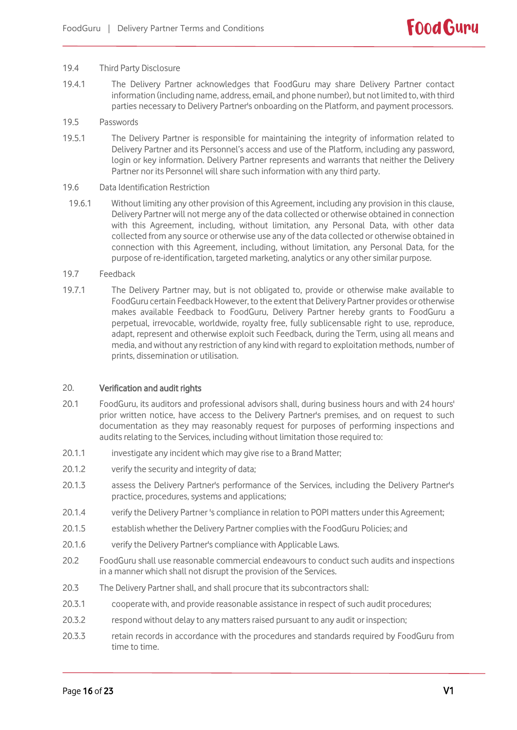#### 19.4 Third Party Disclosure

- 19.4.1 The Delivery Partner acknowledges that FoodGuru may share Delivery Partner contact information (including name, address, email, and phone number), but not limited to, with third parties necessary to Delivery Partner's onboarding on the Platform, and payment processors.
- 19.5 Passwords
- 19.5.1 The Delivery Partner is responsible for maintaining the integrity of information related to Delivery Partner and its Personnel's access and use of the Platform, including any password, login or key information. Delivery Partner represents and warrants that neither the Delivery Partner nor its Personnel will share such information with any third party.
- 19.6 Data Identification Restriction
- 19.6.1 Without limiting any other provision of this Agreement, including any provision in this clause, Delivery Partner will not merge any of the data collected or otherwise obtained in connection with this Agreement, including, without limitation, any Personal Data, with other data collected from any source or otherwise use any of the data collected or otherwise obtained in connection with this Agreement, including, without limitation, any Personal Data, for the purpose of re-identification, targeted marketing, analytics or any other similar purpose.
- 19.7 Feedback
- 19.7.1 The Delivery Partner may, but is not obligated to, provide or otherwise make available to FoodGuru certain Feedback However, to the extent that Delivery Partner provides or otherwise makes available Feedback to FoodGuru, Delivery Partner hereby grants to FoodGuru a perpetual, irrevocable, worldwide, royalty free, fully sublicensable right to use, reproduce, adapt, represent and otherwise exploit such Feedback, during the Term, using all means and media, and without any restriction of any kind with regard to exploitation methods, number of prints, dissemination or utilisation.

#### 20. Verification and audit rights

- 20.1 FoodGuru, its auditors and professional advisors shall, during business hours and with 24 hours' prior written notice, have access to the Delivery Partner's premises, and on request to such documentation as they may reasonably request for purposes of performing inspections and audits relating to the Services, including without limitation those required to:
- 20.1.1 investigate any incident which may give rise to a Brand Matter;
- 20.1.2 verify the security and integrity of data;
- 20.1.3 assess the Delivery Partner's performance of the Services, including the Delivery Partner's practice, procedures, systems and applications;
- 20.1.4 verify the Delivery Partner 's compliance in relation to POPI matters under this Agreement;
- 20.1.5 establish whether the Delivery Partner complies with the FoodGuru Policies; and
- 20.1.6 verify the Delivery Partner's compliance with Applicable Laws.
- 20.2 FoodGuru shall use reasonable commercial endeavours to conduct such audits and inspections in a manner which shall not disrupt the provision of the Services.
- 20.3 The Delivery Partner shall, and shall procure that its subcontractors shall:
- 20.3.1 cooperate with, and provide reasonable assistance in respect of such audit procedures;
- 20.3.2 respond without delay to any matters raised pursuant to any audit or inspection;
- 20.3.3 retain records in accordance with the procedures and standards required by FoodGuru from time to time.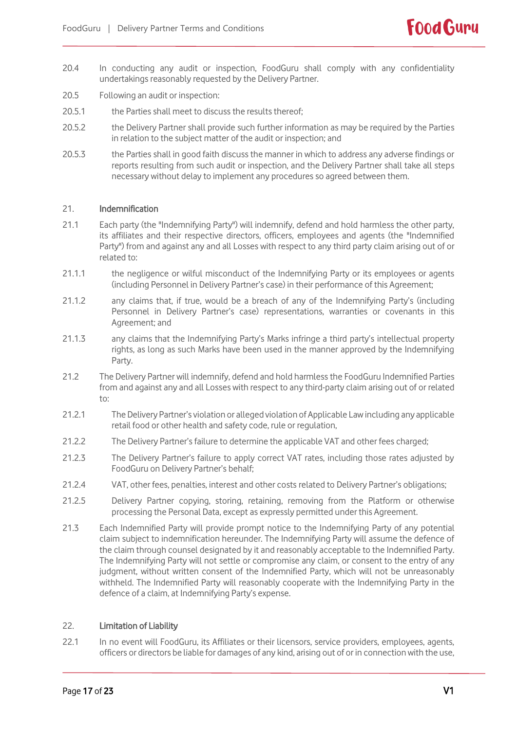- 20.4 In conducting any audit or inspection, FoodGuru shall comply with any confidentiality undertakings reasonably requested by the Delivery Partner.
- 20.5 Following an audit or inspection:
- 20.5.1 the Parties shall meet to discuss the results thereof:
- 20.5.2 the Delivery Partner shall provide such further information as may be required by the Parties in relation to the subject matter of the audit or inspection; and
- 20.5.3 the Parties shall in good faith discuss the manner in which to address any adverse findings or reports resulting from such audit or inspection, and the Delivery Partner shall take all steps necessary without delay to implement any procedures so agreed between them.

# 21. Indemnification

- 21.1 Each party (the "Indemnifying Party") will indemnify, defend and hold harmless the other party, its affiliates and their respective directors, officers, employees and agents (the "Indemnified Party") from and against any and all Losses with respect to any third party claim arising out of or related to:
- 21.1.1 the negligence or wilful misconduct of the Indemnifying Party or its employees or agents (including Personnel in Delivery Partner's case) in their performance of this Agreement;
- 21.1.2 any claims that, if true, would be a breach of any of the Indemnifying Party's (including Personnel in Delivery Partner's case) representations, warranties or covenants in this Agreement; and
- 21.1.3 any claims that the Indemnifying Party's Marks infringe a third party's intellectual property rights, as long as such Marks have been used in the manner approved by the Indemnifying Party.
- 21.2 The Delivery Partner will indemnify, defend and hold harmless the FoodGuru Indemnified Parties from and against any and all Losses with respect to any third-party claim arising out of or related to:
- 21.2.1 The Delivery Partner's violation or alleged violation of Applicable Law including any applicable retail food or other health and safety code, rule or regulation,
- 21.2.2 The Delivery Partner's failure to determine the applicable VAT and other fees charged;
- 21.2.3 The Delivery Partner's failure to apply correct VAT rates, including those rates adjusted by FoodGuru on Delivery Partner's behalf;
- 21.2.4 VAT, other fees, penalties, interest and other costs related to Delivery Partner's obligations;
- 21.2.5 Delivery Partner copying, storing, retaining, removing from the Platform or otherwise processing the Personal Data, except as expressly permitted under this Agreement.
- 21.3 Each Indemnified Party will provide prompt notice to the Indemnifying Party of any potential claim subject to indemnification hereunder. The Indemnifying Party will assume the defence of the claim through counsel designated by it and reasonably acceptable to the Indemnified Party. The Indemnifying Party will not settle or compromise any claim, or consent to the entry of any judgment, without written consent of the Indemnified Party, which will not be unreasonably withheld. The Indemnified Party will reasonably cooperate with the Indemnifying Party in the defence of a claim, at Indemnifying Party's expense.

#### 22. Limitation of Liability

22.1 In no event will FoodGuru, its Affiliates or their licensors, service providers, employees, agents, officers or directors be liable for damages of any kind, arising out of or in connection with the use,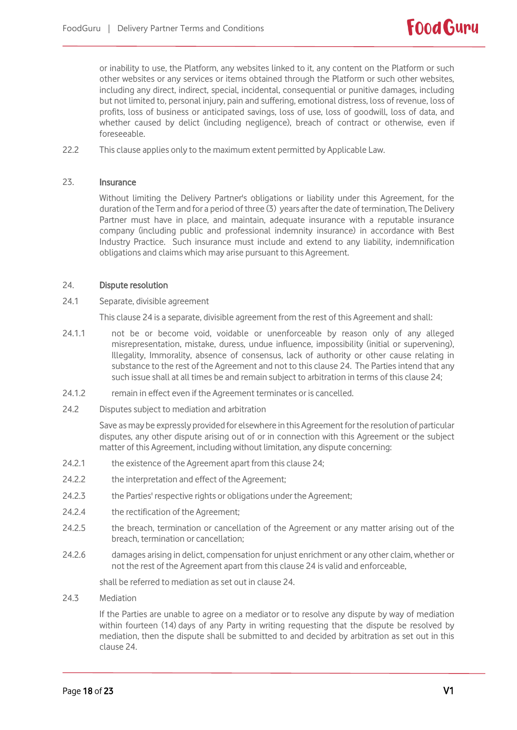or inability to use, the Platform, any websites linked to it, any content on the Platform or such other websites or any services or items obtained through the Platform or such other websites, including any direct, indirect, special, incidental, consequential or punitive damages, including but not limited to, personal injury, pain and suffering, emotional distress, loss of revenue, loss of profits, loss of business or anticipated savings, loss of use, loss of goodwill, loss of data, and whether caused by delict (including negligence), breach of contract or otherwise, even if foreseeable.

22.2 This clause applies only to the maximum extent permitted by Applicable Law.

#### 23. Insurance

Without limiting the Delivery Partner's obligations or liability under this Agreement, for the duration of the Term and for a period of three (3) years after the date of termination, The Delivery Partner must have in place, and maintain, adequate insurance with a reputable insurance company (including public and professional indemnity insurance) in accordance with Best Industry Practice. Such insurance must include and extend to any liability, indemnification obligations and claims which may arise pursuant to this Agreement.

#### 24. Dispute resolution

24.1 Separate, divisible agreement

This clause 24 is a separate, divisible agreement from the rest of this Agreement and shall:

- 24.1.1 not be or become void, voidable or unenforceable by reason only of any alleged misrepresentation, mistake, duress, undue influence, impossibility (initial or supervening), Illegality, Immorality, absence of consensus, lack of authority or other cause relating in substance to the rest of the Agreement and not to this clause 24. The Parties intend that any such issue shall at all times be and remain subject to arbitration in terms of this clause 24;
- 24.1.2 remain in effect even if the Agreement terminates or is cancelled.
- 24.2 Disputes subject to mediation and arbitration

Save as may be expressly provided for elsewhere in this Agreement for the resolution of particular disputes, any other dispute arising out of or in connection with this Agreement or the subject matter of this Agreement, including without limitation, any dispute concerning:

- 24.2.1 the existence of the Agreement apart from this clause 24;
- 24.2.2 the interpretation and effect of the Agreement;
- 24.2.3 the Parties' respective rights or obligations under the Agreement;
- 24.2.4 the rectification of the Agreement;
- 24.2.5 the breach, termination or cancellation of the Agreement or any matter arising out of the breach, termination or cancellation;
- 24.2.6 damages arising in delict, compensation for unjust enrichment or any other claim, whether or not the rest of the Agreement apart from this clause 24 is valid and enforceable,

shall be referred to mediation as set out in clause 24.

24.3 Mediation

If the Parties are unable to agree on a mediator or to resolve any dispute by way of mediation within fourteen (14) days of any Party in writing requesting that the dispute be resolved by mediation, then the dispute shall be submitted to and decided by arbitration as set out in this clause 24.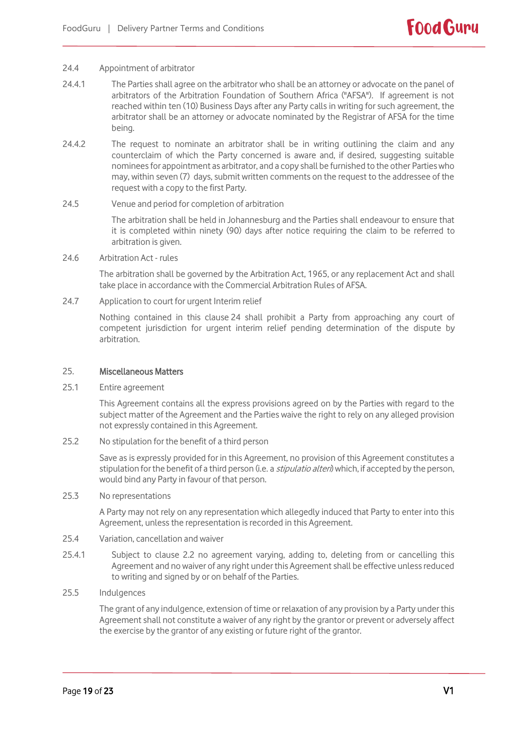#### 24.4 Appointment of arbitrator

- 24.4.1 The Parties shall agree on the arbitrator who shall be an attorney or advocate on the panel of arbitrators of the Arbitration Foundation of Southern Africa ("AFSA"). If agreement is not reached within ten (10) Business Days after any Party calls in writing for such agreement, the arbitrator shall be an attorney or advocate nominated by the Registrar of AFSA for the time being.
- 24.4.2 The request to nominate an arbitrator shall be in writing outlining the claim and any counterclaim of which the Party concerned is aware and, if desired, suggesting suitable nominees for appointment as arbitrator, and a copy shall be furnished to the other Parties who may, within seven (7) days, submit written comments on the request to the addressee of the request with a copy to the first Party.

### 24.5 Venue and period for completion of arbitration

The arbitration shall be held in Johannesburg and the Parties shall endeavour to ensure that it is completed within ninety (90) days after notice requiring the claim to be referred to arbitration is given.

24.6 Arbitration Act - rules

The arbitration shall be governed by the Arbitration Act, 1965, or any replacement Act and shall take place in accordance with the Commercial Arbitration Rules of AFSA.

24.7 Application to court for urgent Interim relief

Nothing contained in this clause 24 shall prohibit a Party from approaching any court of competent jurisdiction for urgent interim relief pending determination of the dispute by arbitration.

#### 25. Miscellaneous Matters

25.1 Entire agreement

This Agreement contains all the express provisions agreed on by the Parties with regard to the subject matter of the Agreement and the Parties waive the right to rely on any alleged provision not expressly contained in this Agreement.

25.2 No stipulation for the benefit of a third person

Save as is expressly provided for in this Agreement, no provision of this Agreement constitutes a stipulation for the benefit of a third person (i.e. a *stipulatio alteri*) which, if accepted by the person, would bind any Party in favour of that person.

25.3 No representations

A Party may not rely on any representation which allegedly induced that Party to enter into this Agreement, unless the representation is recorded in this Agreement.

- 25.4 Variation, cancellation and waiver
- 25.4.1 Subject to clause 2.2 no agreement varying, adding to, deleting from or cancelling this Agreement and no waiver of any right under this Agreement shall be effective unless reduced to writing and signed by or on behalf of the Parties.
- 25.5 Indulgences

The grant of any indulgence, extension of time or relaxation of any provision by a Party under this Agreement shall not constitute a waiver of any right by the grantor or prevent or adversely affect the exercise by the grantor of any existing or future right of the grantor.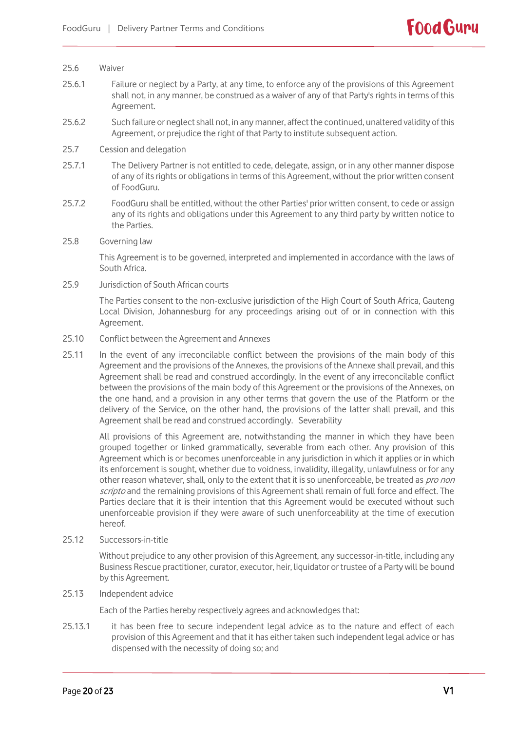#### 25.6 Waiver

- 25.6.1 Failure or neglect by a Party, at any time, to enforce any of the provisions of this Agreement shall not, in any manner, be construed as a waiver of any of that Party's rights in terms of this Agreement.
- 25.6.2 Such failure or neglect shall not, in any manner, affect the continued, unaltered validity of this Agreement, or prejudice the right of that Party to institute subsequent action.

#### 25.7 Cession and delegation

- 25.7.1 The Delivery Partner is not entitled to cede, delegate, assign, or in any other manner dispose of any of its rights or obligations in terms of this Agreement, without the prior written consent of FoodGuru.
- 25.7.2 FoodGuru shall be entitled, without the other Parties' prior written consent, to cede or assign any of its rights and obligations under this Agreement to any third party by written notice to the Parties.
- 25.8 Governing law

This Agreement is to be governed, interpreted and implemented in accordance with the laws of South Africa.

25.9 Jurisdiction of South African courts

The Parties consent to the non-exclusive jurisdiction of the High Court of South Africa, Gauteng Local Division, Johannesburg for any proceedings arising out of or in connection with this Agreement.

- 25.10 Conflict between the Agreement and Annexes
- 25.11 In the event of any irreconcilable conflict between the provisions of the main body of this Agreement and the provisions of the Annexes, the provisions of the Annexe shall prevail, and this Agreement shall be read and construed accordingly. In the event of any irreconcilable conflict between the provisions of the main body of this Agreement or the provisions of the Annexes, on the one hand, and a provision in any other terms that govern the use of the Platform or the delivery of the Service, on the other hand, the provisions of the latter shall prevail, and this Agreement shall be read and construed accordingly. Severability

All provisions of this Agreement are, notwithstanding the manner in which they have been grouped together or linked grammatically, severable from each other. Any provision of this Agreement which is or becomes unenforceable in any jurisdiction in which it applies or in which its enforcement is sought, whether due to voidness, invalidity, illegality, unlawfulness or for any other reason whatever, shall, only to the extent that it is so unenforceable, be treated as pro non scripto and the remaining provisions of this Agreement shall remain of full force and effect. The Parties declare that it is their intention that this Agreement would be executed without such unenforceable provision if they were aware of such unenforceability at the time of execution hereof.

25.12 Successors-in-title

Without prejudice to any other provision of this Agreement, any successor-in-title, including any Business Rescue practitioner, curator, executor, heir, liquidator or trustee of a Party will be bound by this Agreement.

25.13 Independent advice

Each of the Parties hereby respectively agrees and acknowledges that:

25.13.1 it has been free to secure independent legal advice as to the nature and effect of each provision of this Agreement and that it has either taken such independent legal advice or has dispensed with the necessity of doing so; and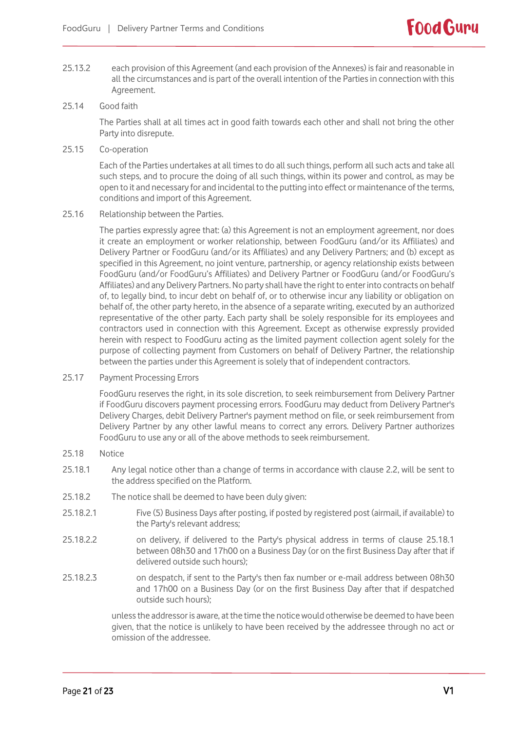25.13.2 each provision of this Agreement (and each provision of the Annexes) is fair and reasonable in all the circumstances and is part of the overall intention of the Parties in connection with this Agreement.

# 25.14 Good faith

The Parties shall at all times act in good faith towards each other and shall not bring the other Party into disrepute.

25.15 Co-operation

Each of the Parties undertakes at all times to do all such things, perform all such acts and take all such steps, and to procure the doing of all such things, within its power and control, as may be open to it and necessary for and incidental to the putting into effect or maintenance of the terms, conditions and import of this Agreement.

25.16 Relationship between the Parties.

The parties expressly agree that: (a) this Agreement is not an employment agreement, nor does it create an employment or worker relationship, between FoodGuru (and/or its Affiliates) and Delivery Partner or FoodGuru (and/or its Affiliates) and any Delivery Partners; and (b) except as specified in this Agreement, no joint venture, partnership, or agency relationship exists between FoodGuru (and/or FoodGuru's Affiliates) and Delivery Partner or FoodGuru (and/or FoodGuru's Affiliates) and any Delivery Partners. No party shall have the right to enter into contracts on behalf of, to legally bind, to incur debt on behalf of, or to otherwise incur any liability or obligation on behalf of, the other party hereto, in the absence of a separate writing, executed by an authorized representative of the other party. Each party shall be solely responsible for its employees and contractors used in connection with this Agreement. Except as otherwise expressly provided herein with respect to FoodGuru acting as the limited payment collection agent solely for the purpose of collecting payment from Customers on behalf of Delivery Partner, the relationship between the parties under this Agreement is solely that of independent contractors.

25.17 Payment Processing Errors

FoodGuru reserves the right, in its sole discretion, to seek reimbursement from Delivery Partner if FoodGuru discovers payment processing errors. FoodGuru may deduct from Delivery Partner's Delivery Charges, debit Delivery Partner's payment method on file, or seek reimbursement from Delivery Partner by any other lawful means to correct any errors. Delivery Partner authorizes FoodGuru to use any or all of the above methods to seek reimbursement.

- 25.18 Notice
- 25.18.1 Any legal notice other than a change of terms in accordance with clause 2.2, will be sent to the address specified on the Platform.
- 25.18.2 The notice shall be deemed to have been duly given:
- 25.18.2.1 Five (5) Business Days after posting, if posted by registered post (airmail, if available) to the Party's relevant address;
- 25.18.2.2 on delivery, if delivered to the Party's physical address in terms of clause 25.18.1 between 08h30 and 17h00 on a Business Day (or on the first Business Day after that if delivered outside such hours);
- 25.18.2.3 on despatch, if sent to the Party's then fax number or e-mail address between 08h30 and 17h00 on a Business Day (or on the first Business Day after that if despatched outside such hours);

unlessthe addressor is aware, at the time the notice would otherwise be deemed to have been given, that the notice is unlikely to have been received by the addressee through no act or omission of the addressee.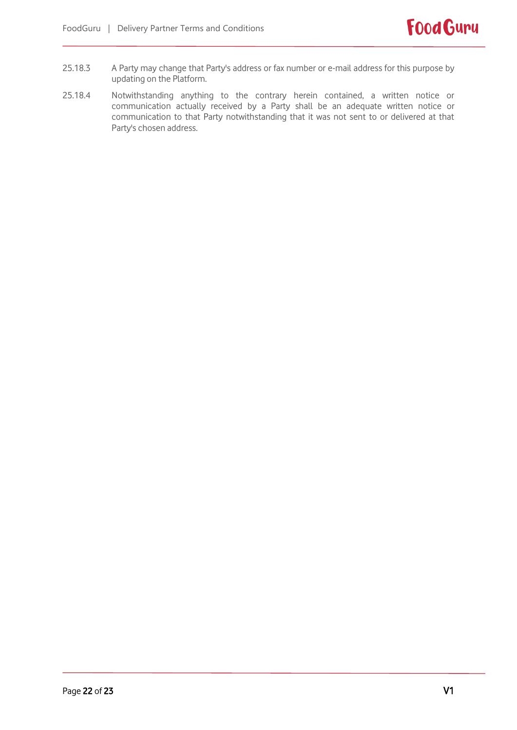- 25.18.3 A Party may change that Party's address or fax number or e-mail address for this purpose by updating on the Platform.
- 25.18.4 Notwithstanding anything to the contrary herein contained, a written notice or communication actually received by a Party shall be an adequate written notice or communication to that Party notwithstanding that it was not sent to or delivered at that Party's chosen address.